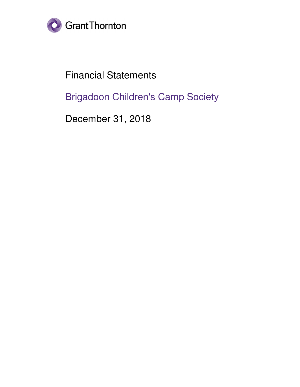

Financial Statements

Brigadoon Children's Camp Society

December 31, 2018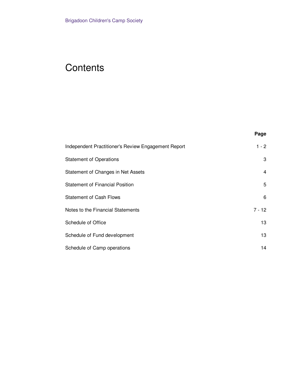## **Contents**

| ×<br>۰. | ۰,<br>× |
|---------|---------|
|---------|---------|

| Independent Practitioner's Review Engagement Report | $1 - 2$  |
|-----------------------------------------------------|----------|
| <b>Statement of Operations</b>                      | 3        |
| Statement of Changes in Net Assets                  | 4        |
| <b>Statement of Financial Position</b>              | 5        |
| <b>Statement of Cash Flows</b>                      | 6        |
| Notes to the Financial Statements                   | $7 - 12$ |
| Schedule of Office                                  | 13       |
| Schedule of Fund development                        | 13       |
| Schedule of Camp operations                         | 14       |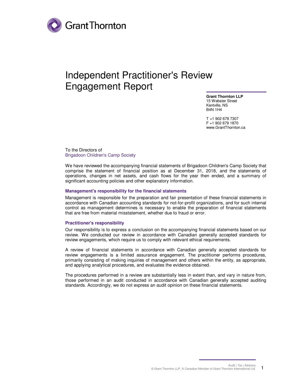

### Independent Practitioner's Review Engagement Report

**Grant Thornton LLP** 15 Webster Street Kentville, NS B4N 1H4

T +1 902 678 7307 F +1 902 679 1870 www.GrantThornton.ca

To the Directors of Brigadoon Children's Camp Society

We have reviewed the accompanying financial statements of Brigadoon Children's Camp Society that comprise the statement of financial position as at December 31, 2018, and the statements of operations, changes in net assets, and cash flows for the year then ended, and a summary of significant accounting policies and other explanatory information.

#### **Management's responsibility for the financial statements**

Management is responsible for the preparation and fair presentation of these financial statements in accordance with Canadian accounting standards for not-for-profit organizations, and for such internal control as management determines is necessary to enable the preparation of financial statements that are free from material misstatement, whether due to fraud or error.

#### **Practitioner's responsibility**

Our responsibility is to express a conclusion on the accompanying financial statements based on our review. We conducted our review in accordance with Canadian generally accepted standards for review engagements, which require us to comply with relevant ethical requirements.

A review of financial statements in accordance with Canadian generally accepted standards for review engagements is a limited assurance engagement. The practitioner performs procedures, primarily consisting of making inquiries of management and others within the entity, as appropriate, and applying analytical procedures, and evaluates the evidence obtained.

The procedures performed in a review are substantially less in extent than, and vary in nature from, those performed in an audit conducted in accordance with Canadian generally accepted auditing standards. Accordingly, we do not express an audit opinion on these financial statements.

> Audit | Tax | Advisory © Grant Thornton LLP. A Canadian Member of Grant Thornton International Ltd 1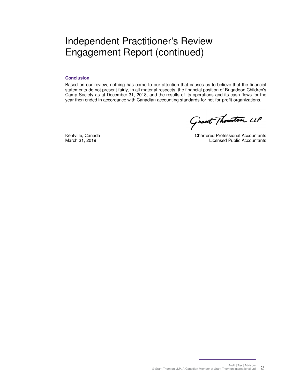### Independent Practitioner's Review Engagement Report (continued)

#### **Conclusion**

Based on our review, nothing has come to our attention that causes us to believe that the financial statements do not present fairly, in all material respects, the financial position of Brigadoon Children's Camp Society as at December 31, 2018, and the results of its operations and its cash flows for the year then ended in accordance with Canadian accounting standards for not-for-profit organizations.

Grant Thouston LLP

Kentville, Canada March 31, 2019

Chartered Professional Accountants Licensed Public Accountants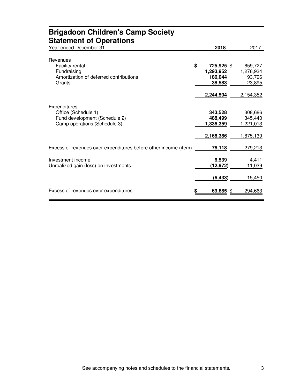| <b>Brigadoon Children's Camp Society</b><br><b>Statement of Operations</b>                           |                                              |                                              |
|------------------------------------------------------------------------------------------------------|----------------------------------------------|----------------------------------------------|
| Year ended December 31                                                                               | 2018                                         | 2017                                         |
| Revenues<br>Facility rental<br>Fundraising                                                           | \$<br>725,925 \$<br>1,293,952                | 659,727<br>1,276,934                         |
| Amortization of deferred contributions<br>Grants                                                     | 186,044<br>38,583                            | 193,796<br>23,895                            |
|                                                                                                      | 2,244,504                                    | 2,154,352                                    |
| Expenditures<br>Office (Schedule 1)<br>Fund development (Schedule 2)<br>Camp operations (Schedule 3) | 343,528<br>488,499<br>1,336,359<br>2,168,386 | 308,686<br>345,440<br>1,221,013<br>1,875,139 |
| Excess of revenues over expenditures before other income (item)                                      | 76,118                                       | 279,213                                      |
| Investment income<br>Unrealized gain (loss) on investments                                           | 6,539<br>(12, 972)                           | 4,411<br>11,039                              |
|                                                                                                      | (6, 433)                                     | 15,450                                       |
| Excess of revenues over expenditures                                                                 | 69,685 \$                                    | 294,663                                      |

# **Brigadoon Children's Camp Society**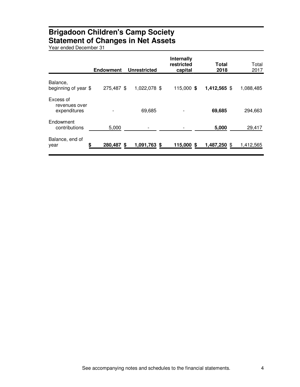### **Brigadoon Children's Camp Society Statement of Changes in Net Assets**

Year ended December 31

|                                            | <b>Endowment</b> | <b>Unrestricted</b> | <b>Internally</b><br>restricted<br>capital | Total<br>2018 | Total<br>2017 |
|--------------------------------------------|------------------|---------------------|--------------------------------------------|---------------|---------------|
| Balance,<br>beginning of year \$           | 275,487 \$       | 1,022,078 \$        | 115,000 \$                                 | 1,412,565 \$  | 1,088,485     |
| Excess of<br>revenues over<br>expenditures |                  | 69,685              |                                            | 69,685        | 294,663       |
| Endowment<br>contributions                 | 5,000            |                     |                                            | 5,000         | 29,417        |
| Balance, end of<br>\$<br>year              | 280,487 \$       | 1,091,763 \$        | 115,000<br>S.                              | 1,487,250     | 1,412,565     |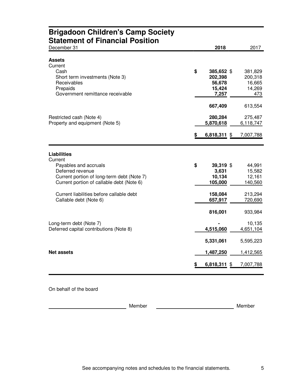### **Brigadoon Children's Camp Society Statement of Financial Position**

| December 31                                                                                                                                                           |    | 2018                                               | 2017                                          |
|-----------------------------------------------------------------------------------------------------------------------------------------------------------------------|----|----------------------------------------------------|-----------------------------------------------|
| <b>Assets</b><br>Current<br>Cash<br>Short term investments (Note 3)<br>Receivables<br>Prepaids<br>Government remittance receivable                                    | \$ | 385,652 \$<br>202,398<br>56,678<br>15,424<br>7,257 | 381,829<br>200,318<br>16,665<br>14,269<br>473 |
| Restricted cash (Note 4)<br>Property and equipment (Note 5)                                                                                                           | S. | 667,409<br>280,284<br>5,870,618<br>$6,818,311$ \$  | 613,554<br>275,487<br>6,118,747<br>7,007,788  |
| <b>Liabilities</b><br>Current<br>Payables and accruals<br>Deferred revenue<br>Current portion of long-term debt (Note 7)<br>Current portion of callable debt (Note 6) | \$ | 39,319 \$<br>3,631<br>10,134<br>105,000            | 44,991<br>15,582<br>12,161<br>140,560         |
| Current liabilities before callable debt<br>Callable debt (Note 6)                                                                                                    |    | 158,084<br>657,917<br>816,001                      | 213,294<br>720,690<br>933,984                 |
| Long-term debt (Note 7)<br>Deferred capital contributions (Note 8)                                                                                                    |    | 4,515,060<br>5,331,061                             | 10,135<br>4,651,104<br>5,595,223              |
| <b>Net assets</b>                                                                                                                                                     |    | 1,487,250<br>6,818,311                             | 1,412,565<br>7,007,788<br>£.                  |

On behalf of the board

Member **Member** Member **Member** Member **Member**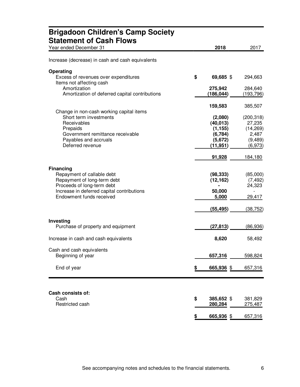| <b>Brigadoon Children's Camp Society</b><br><b>Statement of Cash Flows</b> |                       |                       |
|----------------------------------------------------------------------------|-----------------------|-----------------------|
| Year ended December 31                                                     | 2018                  | 2017                  |
| Increase (decrease) in cash and cash equivalents                           |                       |                       |
| <b>Operating</b>                                                           |                       |                       |
| Excess of revenues over expenditures<br>Items not affecting cash           | \$<br>69,685 \$       | 294,663               |
| Amortization<br>Amortization of deferred capital contributions             | 275,942<br>(186, 044) | 284,640<br>(193, 796) |
| Change in non-cash working capital items                                   | 159,583               | 385,507               |
| Short term investments                                                     | (2,080)               | (200, 318)            |
| Receivables                                                                | (40, 013)             | 27,235                |
| Prepaids                                                                   | (1, 155)              | (14, 269)             |
| Government remittance receivable                                           | (6, 784)              | 2,487                 |
| Payables and accruals                                                      | (5,672)               | (9,489)               |
| Deferred revenue                                                           | (11, 951)             | (6,973)               |
|                                                                            | 91,928                | 184,180               |
| <b>Financing</b>                                                           |                       |                       |
| Repayment of callable debt                                                 | (98, 333)             | (85,000)              |
| Repayment of long-term debt                                                | (12, 162)             | (7, 492)              |
| Proceeds of long-term debt                                                 |                       | 24,323                |
| Increase in deferred capital contributions                                 | 50,000                |                       |
| Endowment funds received                                                   | 5,000                 | 29,417                |
|                                                                            | (55,495)              | (38,752)              |
| <b>Investing</b>                                                           |                       |                       |
| Purchase of property and equipment                                         | (27, 813)             | (86, 936)             |
| Increase in cash and cash equivalents                                      | 8,620                 | 58,492                |
| Cash and cash equivalents                                                  |                       |                       |
| Beginning of year                                                          | 657,316               | 598,824               |
| End of year                                                                | \$<br>665,936 \$      | 657,316               |
|                                                                            |                       |                       |
| Cash consists of:                                                          |                       |                       |
| Cash                                                                       | \$<br>385,652 \$      | 381,829               |
| Restricted cash                                                            | 280,284               | 275,487               |
|                                                                            | \$<br>665,936 \$      | 657,316               |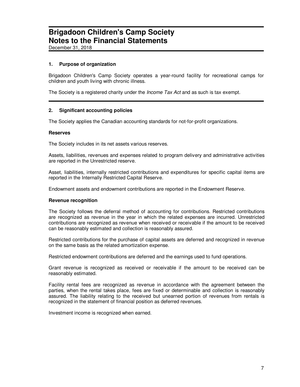December 31, 2018

#### **1. Purpose of organization**

Brigadoon Children's Camp Society operates a year-round facility for recreational camps for children and youth living with chronic illness.

The Society is a registered charity under the *Income Tax Act* and as such is tax exempt.

#### **2. Significant accounting policies**

The Society applies the Canadian accounting standards for not-for-profit organizations.

#### **Reserves**

The Society includes in its net assets various reserves.

Assets, liabilities, revenues and expenses related to program delivery and administrative activities are reported in the Unrestricted reserve.

Asset, liabilities, internally restricted contributions and expenditures for specific capital items are reported in the Internally Restricted Capital Reserve.

Endowment assets and endowment contributions are reported in the Endowment Reserve.

#### **Revenue recognition**

The Society follows the deferral method of accounting for contributions. Restricted contributions are recognized as revenue in the year in which the related expenses are incurred. Unrestricted contributions are recognized as revenue when received or receivable if the amount to be received can be reasonably estimated and collection is reasonably assured.

Restricted contributions for the purchase of capital assets are deferred and recognized in revenue on the same basis as the related amortization expense.

Restricted endowment contributions are deferred and the earnings used to fund operations.

Grant revenue is recognized as received or receivable if the amount to be received can be reasonably estimated.

Facility rental fees are recognized as revenue in accordance with the agreement between the parties, when the rental takes place, fees are fixed or determinable and collection is reasonably assured. The liability relating to the received but unearned portion of revenues from rentals is recognized in the statement of financial position as deferred revenues.

Investment income is recognized when earned.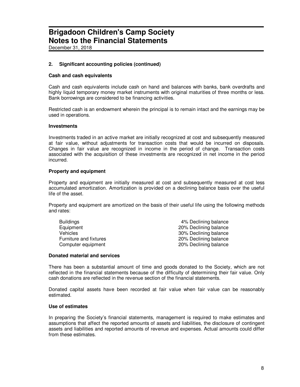December 31, 2018

#### **2. Significant accounting policies (continued)**

#### **Cash and cash equivalents**

Cash and cash equivalents include cash on hand and balances with banks, bank overdrafts and highly liquid temporary money market instruments with original maturities of three months or less. Bank borrowings are considered to be financing activities.

Restricted cash is an endowment wherein the principal is to remain intact and the earnings may be used in operations.

#### **Investments**

Investments traded in an active market are initially recognized at cost and subsequently measured at fair value, without adjustments for transaction costs that would be incurred on disposals. Changes in fair value are recognized in income in the period of change. Transaction costs associated with the acquisition of these investments are recognized in net income in the period incurred.

#### **Property and equipment**

Property and equipment are initially measured at cost and subsequently measured at cost less accumulated amortization. Amortization is provided on a declining balance basis over the useful life of the asset.

Property and equipment are amortized on the basis of their useful life using the following methods and rates:

| <b>Buildings</b>       | 4% Declining balance  |
|------------------------|-----------------------|
| Equipment              | 20% Declining balance |
| <b>Vehicles</b>        | 30% Declining balance |
| Furniture and fixtures | 20% Declining balance |
| Computer equipment     | 20% Declining balance |

#### **Donated material and services**

There has been a substantial amount of time and goods donated to the Society, which are not reflected in the financial statements because of the difficulty of determining their fair value. Only cash donations are reflected in the revenue section of the financial statements.

Donated capital assets have been recorded at fair value when fair value can be reasonably estimated.

#### **Use of estimates**

In preparing the Society's financial statements, management is required to make estimates and assumptions that affect the reported amounts of assets and liabilities, the disclosure of contingent assets and liabilities and reported amounts of revenue and expenses. Actual amounts could differ from these estimates.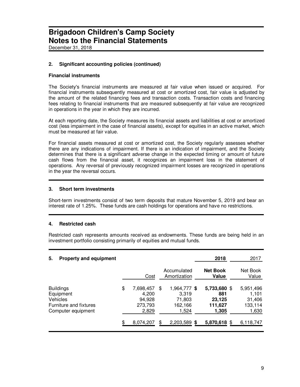December 31, 2018

#### **2. Significant accounting policies (continued)**

#### **Financial instruments**

The Society's financial instruments are measured at fair value when issued or acquired. For financial instruments subsequently measured at cost or amortized cost, fair value is adjusted by the amount of the related financing fees and transaction costs. Transaction costs and financing fees relating to financial instruments that are measured subsequently at fair value are recognized in operations in the year in which they are incurred.

At each reporting date, the Society measures its financial assets and liabilities at cost or amortized cost (less impairment in the case of financial assets), except for equities in an active market, which must be measured at fair value.

For financial assets measured at cost or amortized cost, the Society regularly assesses whether there are any indications of impairment. If there is an indication of impairment, and the Society determines that there is a significant adverse change in the expected timing or amount of future cash flows from the financial asset, it recognizes an impairment loss in the statement of operations. Any reversal of previously recognized impairment losses are recognized in operations in the year the reversal occurs.

#### **3. Short term investments**

Short-term investments consist of two term deposits that mature November 5, 2019 and bear an interest rate of 1.25%. These funds are cash holdings for operations and have no restrictions.

#### **4. Restricted cash**

Restricted cash represents amounts received as endowments. These funds are being held in an investment portfolio consisting primarily of equities and mutual funds.

| 5.<br><b>Property and equipment</b>                                                              |                                                        |     |                                                     | 2018                                              | 2017                                             |
|--------------------------------------------------------------------------------------------------|--------------------------------------------------------|-----|-----------------------------------------------------|---------------------------------------------------|--------------------------------------------------|
|                                                                                                  | Cost                                                   |     | Accumulated<br>Amortization                         | <b>Net Book</b><br>Value                          | Net Book<br>Value                                |
| <b>Buildings</b><br>Equipment<br><b>Vehicles</b><br>Furniture and fixtures<br>Computer equipment | \$<br>7,698,457<br>4,200<br>94,928<br>273,793<br>2,829 | \$. | 1,964,777 \$<br>3.319<br>71,803<br>162,166<br>1,524 | 5,733,680 \$<br>881<br>23,125<br>111,627<br>1,305 | 5,951,496<br>1,101<br>31,406<br>133,114<br>1,630 |
|                                                                                                  | 8,074,207                                              |     | 2,203,589 \$                                        | 5,870,618 \$                                      | 6,118,747                                        |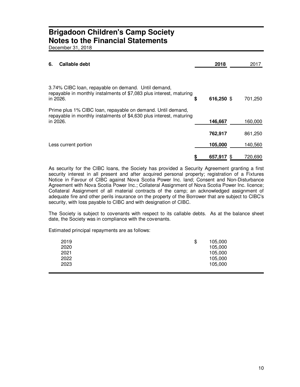December 31, 2018

| Callable debt<br>6.                                                                                                                            |   | 2018       | 2017    |
|------------------------------------------------------------------------------------------------------------------------------------------------|---|------------|---------|
|                                                                                                                                                |   |            |         |
| 3.74% CIBC loan, repayable on demand. Until demand,<br>repayable in monthly instalments of \$7,083 plus interest, maturing<br>in 2026.         | S | 616,250 \$ | 701,250 |
| Prime plus 1% CIBC loan, repayable on demand. Until demand,<br>repayable in monthly instalments of \$4,630 plus interest, maturing<br>in 2026. |   | 146,667    | 160,000 |
|                                                                                                                                                |   | 762,917    | 861,250 |
| Less current portion                                                                                                                           |   | 105,000    | 140,560 |
|                                                                                                                                                |   | 657.917    | 720,690 |

As security for the CIBC loans, the Society has provided a Security Agreement granting a first security interest in all present and after acquired personal property; registration of a Fixtures Notice in Favour of CIBC against Nova Scotia Power Inc. land; Consent and Non-Disturbance Agreement with Nova Scotia Power Inc.; Collateral Assignment of Nova Scotia Power Inc. licence; Collateral Assignment of all material contracts of the camp; an acknowledged assignment of adequate fire and other perils insurance on the property of the Borrower that are subject to CIBC's security, with loss payable to CIBC and with designation of CIBC.

The Society is subject to covenants with respect to its callable debts. As at the balance sheet date, the Society was in compliance with the covenants.

Estimated principal repayments are as follows:

| 2019 | \$<br>105,000 |
|------|---------------|
| 2020 | 105,000       |
| 2021 | 105,000       |
| 2022 | 105,000       |
| 2023 | 105,000       |
|      |               |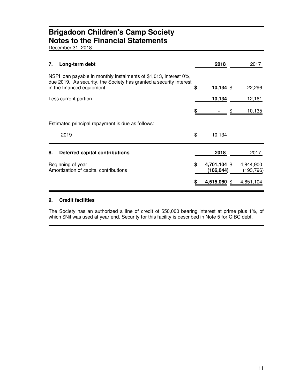December 31, 2018

| 7. | Long-term debt                                                                                                                          |    | 2018                      |   | 2017                   |
|----|-----------------------------------------------------------------------------------------------------------------------------------------|----|---------------------------|---|------------------------|
|    | NSPI loan payable in monthly instalments of \$1,013, interest 0%,<br>due 2019. As security, the Society has granted a security interest |    |                           |   |                        |
|    | in the financed equipment.                                                                                                              | \$ | $10,134$ \$               |   | 22,296                 |
|    | Less current portion                                                                                                                    |    | 10,134                    |   | 12,161                 |
|    |                                                                                                                                         | S  |                           | S | 10,135                 |
|    | Estimated principal repayment is due as follows:                                                                                        |    |                           |   |                        |
|    | 2019                                                                                                                                    | \$ | 10,134                    |   |                        |
| 8. | Deferred capital contributions                                                                                                          |    | 2018                      |   | 2017                   |
|    | Beginning of year<br>Amortization of capital contributions                                                                              | \$ | 4,701,104 \$<br>(186,044) |   | 4,844,900<br>(193,796) |
|    |                                                                                                                                         |    | 4,515,060 \$              |   | 4,651,104              |

#### **9. Credit facilities**

The Society has an authorized a line of credit of \$50,000 bearing interest at prime plus 1%, of which \$Nil was used at year end. Security for this facility is described in Note 5 for CIBC debt.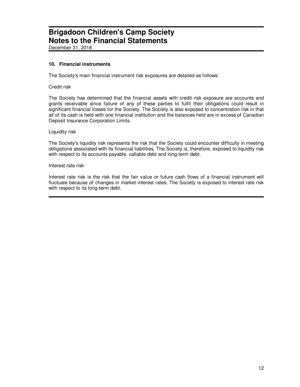December 31, 2018

#### **10. Financial instruments**

The Society's main financial instrument risk exposures are detailed as follows:

Credit risk

The Society has determined that the financial assets with credit risk exposure are accounts and grants receivable since failure of any of these parties to fulfil their obligations could result in significant financial losses for the Society. The Society is also exposed to concentration risk in that all of its cash is held with one financial institution and the balances held are in excess of Canadian Deposit Insurance Corporation Limits.

Liquidity risk

The Society's liquidity risk represents the risk that the Society could encounter difficulty in meeting obligations associated with its financial liabilities. The Society is, therefore, exposed to liquidity risk with respect to its accounts payable, callable debt and long-term debt.

Interest rate risk

Interest rate risk is the risk that the fair value or future cash flows of a financial instrument will fluctuate because of changes in market interest rates. The Society is exposed to interest rate risk with respect to its long-term debt.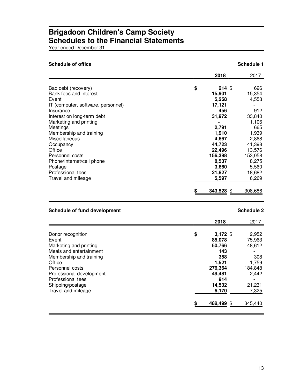Year ended December 31

| <b>Schedule of office</b>                                                                                                                                                         |                                                                                             | Schedule 1                                                                                |
|-----------------------------------------------------------------------------------------------------------------------------------------------------------------------------------|---------------------------------------------------------------------------------------------|-------------------------------------------------------------------------------------------|
|                                                                                                                                                                                   | 2018                                                                                        | 2017                                                                                      |
| Bad debt (recovery)<br>Bank fees and interest<br>Event<br>IT (computer, software, personnel)<br>Insurance<br>Interest on long-term debt<br>Marketing and printing                 | \$<br>214S<br>15,901<br>5,258<br>17,121<br>456<br>31,972                                    | 626<br>15,354<br>4,558<br>912<br>33,840<br>1,106                                          |
| Meetings<br>Membership and training<br>Miscellaneous<br>Occupancy<br>Office<br>Personnel costs<br>Phone/Internet/cell phone<br>Postage<br>Professional fees<br>Travel and mileage | 2,791<br>1,910<br>4,667<br>44,723<br>22,496<br>156,398<br>8,537<br>3,660<br>21,827<br>5,597 | 665<br>1,939<br>2,868<br>41,398<br>13,576<br>153,058<br>8,275<br>5,560<br>18,682<br>6,269 |
|                                                                                                                                                                                   | 343,528 \$                                                                                  | 308,686                                                                                   |

### **Schedule of fund development Schedule 2 Schedule 2 Schedule 2**

|                          | 2018             | 2017    |
|--------------------------|------------------|---------|
|                          |                  |         |
| Donor recognition        | \$<br>$3,172$ \$ | 2,952   |
| Event                    | 85,078           | 75,963  |
| Marketing and printing   | 50,766           | 48,612  |
| Meals and entertainment  | 143              |         |
| Membership and training  | 358              | 308     |
| Office                   | 1,521            | 1,759   |
| Personnel costs          | 276,364          | 184,848 |
| Professional development | 49,481           | 2,442   |
| Professional fees        | 914              |         |
| Shipping/postage         | 14,532           | 21,231  |
| Travel and mileage       | 6,170            | 7,325   |
|                          | 488,499 \$       | 345,440 |